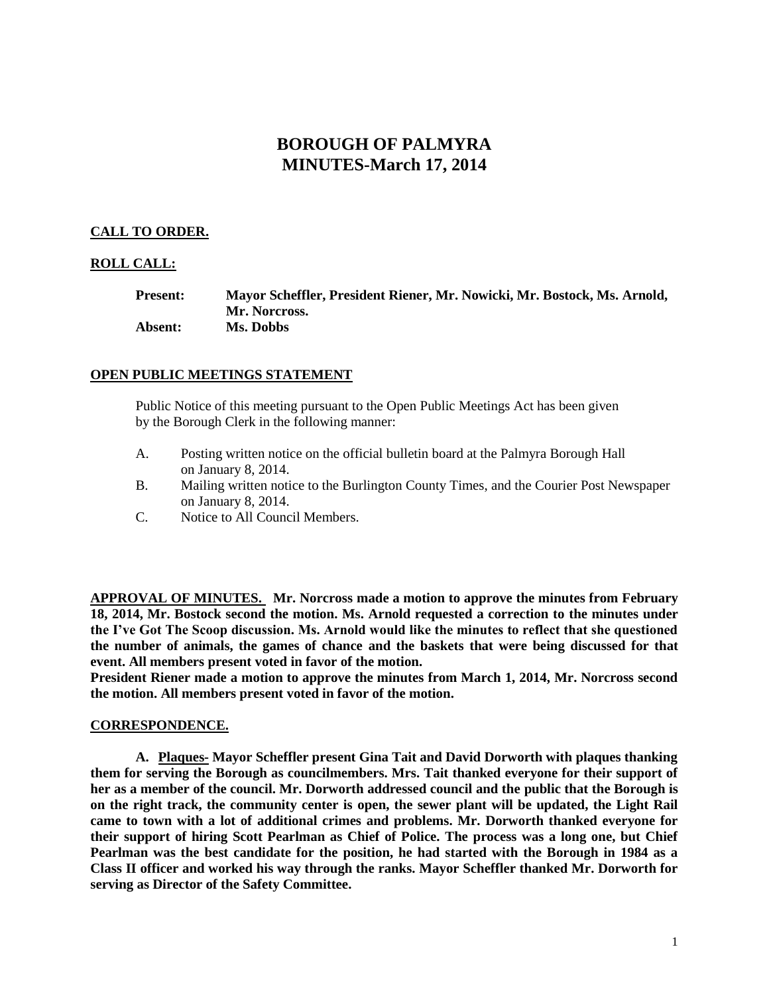# **BOROUGH OF PALMYRA MINUTES-March 17, 2014**

## **CALL TO ORDER.**

### **ROLL CALL:**

**Present: Mayor Scheffler, President Riener, Mr. Nowicki, Mr. Bostock, Ms. Arnold, Mr. Norcross. Absent: Ms. Dobbs**

### **OPEN PUBLIC MEETINGS STATEMENT**

Public Notice of this meeting pursuant to the Open Public Meetings Act has been given by the Borough Clerk in the following manner:

- A. Posting written notice on the official bulletin board at the Palmyra Borough Hall on January 8, 2014.
- B. Mailing written notice to the Burlington County Times, and the Courier Post Newspaper on January 8, 2014.
- C. Notice to All Council Members.

**APPROVAL OF MINUTES. Mr. Norcross made a motion to approve the minutes from February 18, 2014, Mr. Bostock second the motion. Ms. Arnold requested a correction to the minutes under the I've Got The Scoop discussion. Ms. Arnold would like the minutes to reflect that she questioned the number of animals, the games of chance and the baskets that were being discussed for that event. All members present voted in favor of the motion.**

**President Riener made a motion to approve the minutes from March 1, 2014, Mr. Norcross second the motion. All members present voted in favor of the motion.** 

#### **CORRESPONDENCE.**

**A. Plaques- Mayor Scheffler present Gina Tait and David Dorworth with plaques thanking them for serving the Borough as councilmembers. Mrs. Tait thanked everyone for their support of her as a member of the council. Mr. Dorworth addressed council and the public that the Borough is on the right track, the community center is open, the sewer plant will be updated, the Light Rail came to town with a lot of additional crimes and problems. Mr. Dorworth thanked everyone for their support of hiring Scott Pearlman as Chief of Police. The process was a long one, but Chief Pearlman was the best candidate for the position, he had started with the Borough in 1984 as a Class II officer and worked his way through the ranks. Mayor Scheffler thanked Mr. Dorworth for serving as Director of the Safety Committee.**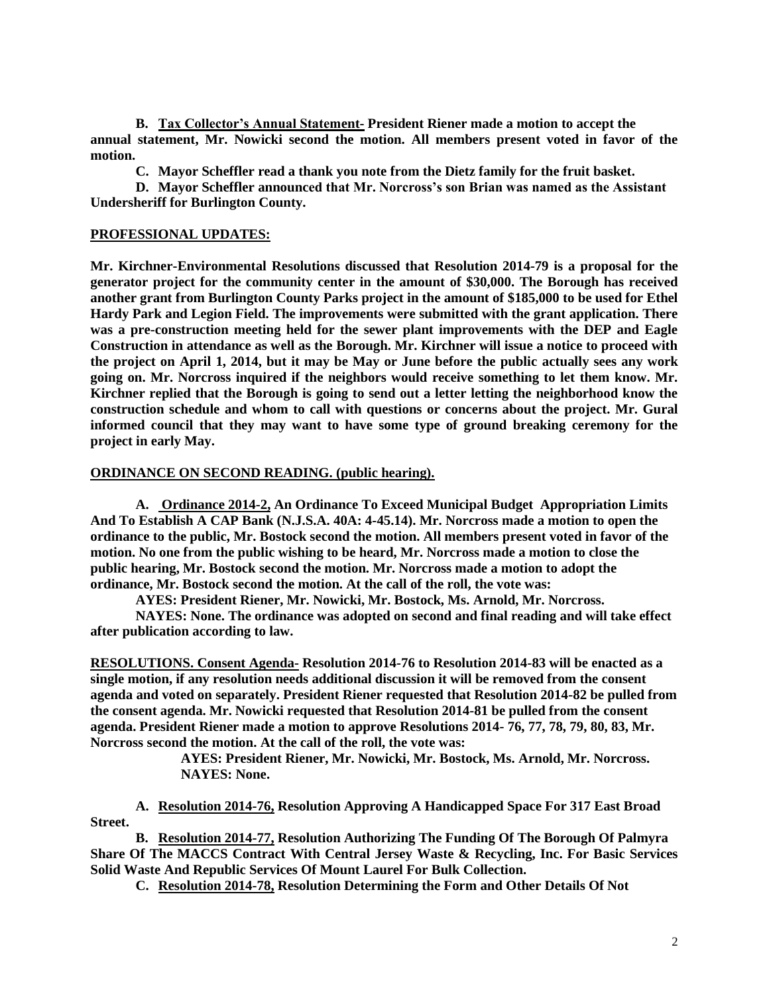**B. Tax Collector's Annual Statement- President Riener made a motion to accept the annual statement, Mr. Nowicki second the motion. All members present voted in favor of the motion.** 

**C. Mayor Scheffler read a thank you note from the Dietz family for the fruit basket.** 

**D. Mayor Scheffler announced that Mr. Norcross's son Brian was named as the Assistant Undersheriff for Burlington County.**

### **PROFESSIONAL UPDATES:**

**Mr. Kirchner-Environmental Resolutions discussed that Resolution 2014-79 is a proposal for the generator project for the community center in the amount of \$30,000. The Borough has received another grant from Burlington County Parks project in the amount of \$185,000 to be used for Ethel Hardy Park and Legion Field. The improvements were submitted with the grant application. There was a pre-construction meeting held for the sewer plant improvements with the DEP and Eagle Construction in attendance as well as the Borough. Mr. Kirchner will issue a notice to proceed with the project on April 1, 2014, but it may be May or June before the public actually sees any work going on. Mr. Norcross inquired if the neighbors would receive something to let them know. Mr. Kirchner replied that the Borough is going to send out a letter letting the neighborhood know the construction schedule and whom to call with questions or concerns about the project. Mr. Gural informed council that they may want to have some type of ground breaking ceremony for the project in early May.** 

#### **ORDINANCE ON SECOND READING. (public hearing).**

**A. Ordinance 2014-2, An Ordinance To Exceed Municipal Budget Appropriation Limits And To Establish A CAP Bank (N.J.S.A. 40A: 4-45.14). Mr. Norcross made a motion to open the ordinance to the public, Mr. Bostock second the motion. All members present voted in favor of the motion. No one from the public wishing to be heard, Mr. Norcross made a motion to close the public hearing, Mr. Bostock second the motion. Mr. Norcross made a motion to adopt the ordinance, Mr. Bostock second the motion. At the call of the roll, the vote was:**

**AYES: President Riener, Mr. Nowicki, Mr. Bostock, Ms. Arnold, Mr. Norcross.**

**NAYES: None. The ordinance was adopted on second and final reading and will take effect after publication according to law.** 

**RESOLUTIONS. Consent Agenda- Resolution 2014-76 to Resolution 2014-83 will be enacted as a single motion, if any resolution needs additional discussion it will be removed from the consent agenda and voted on separately. President Riener requested that Resolution 2014-82 be pulled from the consent agenda. Mr. Nowicki requested that Resolution 2014-81 be pulled from the consent agenda. President Riener made a motion to approve Resolutions 2014- 76, 77, 78, 79, 80, 83, Mr. Norcross second the motion. At the call of the roll, the vote was:**

> **AYES: President Riener, Mr. Nowicki, Mr. Bostock, Ms. Arnold, Mr. Norcross. NAYES: None.**

**A. Resolution 2014-76, Resolution Approving A Handicapped Space For 317 East Broad Street.**

**B. Resolution 2014-77, Resolution Authorizing The Funding Of The Borough Of Palmyra Share Of The MACCS Contract With Central Jersey Waste & Recycling, Inc. For Basic Services Solid Waste And Republic Services Of Mount Laurel For Bulk Collection.** 

**C. Resolution 2014-78, Resolution Determining the Form and Other Details Of Not**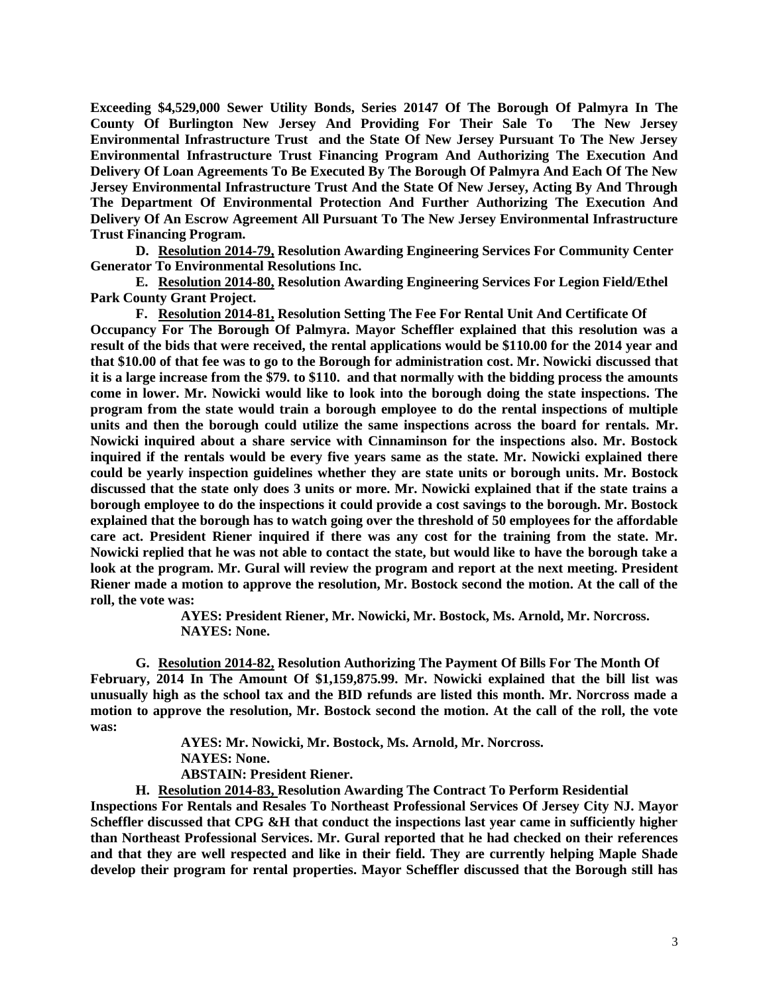**Exceeding \$4,529,000 Sewer Utility Bonds, Series 20147 Of The Borough Of Palmyra In The County Of Burlington New Jersey And Providing For Their Sale To The New Jersey Environmental Infrastructure Trust and the State Of New Jersey Pursuant To The New Jersey Environmental Infrastructure Trust Financing Program And Authorizing The Execution And Delivery Of Loan Agreements To Be Executed By The Borough Of Palmyra And Each Of The New Jersey Environmental Infrastructure Trust And the State Of New Jersey, Acting By And Through The Department Of Environmental Protection And Further Authorizing The Execution And Delivery Of An Escrow Agreement All Pursuant To The New Jersey Environmental Infrastructure Trust Financing Program.** 

**D. Resolution 2014-79, Resolution Awarding Engineering Services For Community Center Generator To Environmental Resolutions Inc.** 

**E. Resolution 2014-80, Resolution Awarding Engineering Services For Legion Field/Ethel Park County Grant Project.** 

**F. Resolution 2014-81, Resolution Setting The Fee For Rental Unit And Certificate Of Occupancy For The Borough Of Palmyra. Mayor Scheffler explained that this resolution was a result of the bids that were received, the rental applications would be \$110.00 for the 2014 year and that \$10.00 of that fee was to go to the Borough for administration cost. Mr. Nowicki discussed that it is a large increase from the \$79. to \$110. and that normally with the bidding process the amounts come in lower. Mr. Nowicki would like to look into the borough doing the state inspections. The program from the state would train a borough employee to do the rental inspections of multiple units and then the borough could utilize the same inspections across the board for rentals. Mr. Nowicki inquired about a share service with Cinnaminson for the inspections also. Mr. Bostock inquired if the rentals would be every five years same as the state. Mr. Nowicki explained there could be yearly inspection guidelines whether they are state units or borough units. Mr. Bostock discussed that the state only does 3 units or more. Mr. Nowicki explained that if the state trains a borough employee to do the inspections it could provide a cost savings to the borough. Mr. Bostock explained that the borough has to watch going over the threshold of 50 employees for the affordable care act. President Riener inquired if there was any cost for the training from the state. Mr. Nowicki replied that he was not able to contact the state, but would like to have the borough take a look at the program. Mr. Gural will review the program and report at the next meeting. President Riener made a motion to approve the resolution, Mr. Bostock second the motion. At the call of the roll, the vote was:**

> **AYES: President Riener, Mr. Nowicki, Mr. Bostock, Ms. Arnold, Mr. Norcross. NAYES: None.**

**G. Resolution 2014-82, Resolution Authorizing The Payment Of Bills For The Month Of February, 2014 In The Amount Of \$1,159,875.99. Mr. Nowicki explained that the bill list was unusually high as the school tax and the BID refunds are listed this month. Mr. Norcross made a motion to approve the resolution, Mr. Bostock second the motion. At the call of the roll, the vote was:**

> **AYES: Mr. Nowicki, Mr. Bostock, Ms. Arnold, Mr. Norcross. NAYES: None. ABSTAIN: President Riener.**

**H. Resolution 2014-83, Resolution Awarding The Contract To Perform Residential Inspections For Rentals and Resales To Northeast Professional Services Of Jersey City NJ. Mayor Scheffler discussed that CPG &H that conduct the inspections last year came in sufficiently higher than Northeast Professional Services. Mr. Gural reported that he had checked on their references and that they are well respected and like in their field. They are currently helping Maple Shade develop their program for rental properties. Mayor Scheffler discussed that the Borough still has**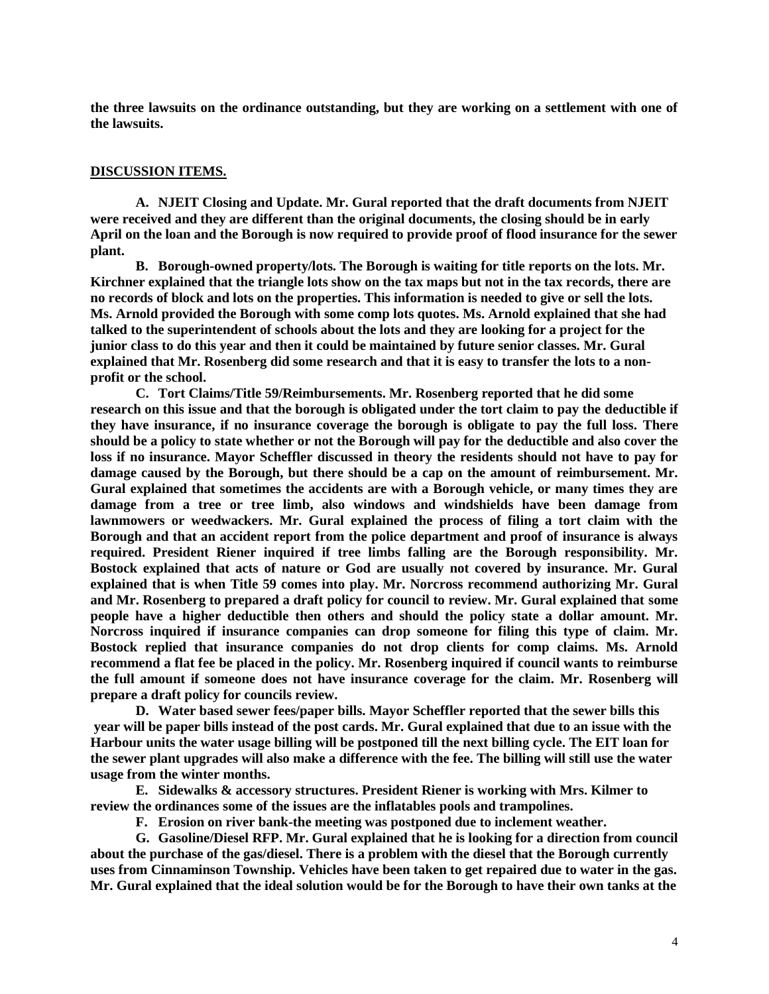**the three lawsuits on the ordinance outstanding, but they are working on a settlement with one of the lawsuits.** 

#### **DISCUSSION ITEMS.**

**A. NJEIT Closing and Update. Mr. Gural reported that the draft documents from NJEIT were received and they are different than the original documents, the closing should be in early April on the loan and the Borough is now required to provide proof of flood insurance for the sewer plant.** 

**B. Borough-owned property/lots. The Borough is waiting for title reports on the lots. Mr. Kirchner explained that the triangle lots show on the tax maps but not in the tax records, there are no records of block and lots on the properties. This information is needed to give or sell the lots. Ms. Arnold provided the Borough with some comp lots quotes. Ms. Arnold explained that she had talked to the superintendent of schools about the lots and they are looking for a project for the junior class to do this year and then it could be maintained by future senior classes. Mr. Gural explained that Mr. Rosenberg did some research and that it is easy to transfer the lots to a nonprofit or the school.** 

**C. Tort Claims/Title 59/Reimbursements. Mr. Rosenberg reported that he did some research on this issue and that the borough is obligated under the tort claim to pay the deductible if they have insurance, if no insurance coverage the borough is obligate to pay the full loss. There should be a policy to state whether or not the Borough will pay for the deductible and also cover the loss if no insurance. Mayor Scheffler discussed in theory the residents should not have to pay for damage caused by the Borough, but there should be a cap on the amount of reimbursement. Mr. Gural explained that sometimes the accidents are with a Borough vehicle, or many times they are damage from a tree or tree limb, also windows and windshields have been damage from lawnmowers or weedwackers. Mr. Gural explained the process of filing a tort claim with the Borough and that an accident report from the police department and proof of insurance is always required. President Riener inquired if tree limbs falling are the Borough responsibility. Mr. Bostock explained that acts of nature or God are usually not covered by insurance. Mr. Gural explained that is when Title 59 comes into play. Mr. Norcross recommend authorizing Mr. Gural and Mr. Rosenberg to prepared a draft policy for council to review. Mr. Gural explained that some people have a higher deductible then others and should the policy state a dollar amount. Mr. Norcross inquired if insurance companies can drop someone for filing this type of claim. Mr. Bostock replied that insurance companies do not drop clients for comp claims. Ms. Arnold recommend a flat fee be placed in the policy. Mr. Rosenberg inquired if council wants to reimburse the full amount if someone does not have insurance coverage for the claim. Mr. Rosenberg will prepare a draft policy for councils review.**

**D. Water based sewer fees/paper bills. Mayor Scheffler reported that the sewer bills this year will be paper bills instead of the post cards. Mr. Gural explained that due to an issue with the Harbour units the water usage billing will be postponed till the next billing cycle. The EIT loan for the sewer plant upgrades will also make a difference with the fee. The billing will still use the water usage from the winter months.** 

**E. Sidewalks & accessory structures. President Riener is working with Mrs. Kilmer to review the ordinances some of the issues are the inflatables pools and trampolines.** 

**F. Erosion on river bank-the meeting was postponed due to inclement weather.**

**G. Gasoline/Diesel RFP. Mr. Gural explained that he is looking for a direction from council about the purchase of the gas/diesel. There is a problem with the diesel that the Borough currently uses from Cinnaminson Township. Vehicles have been taken to get repaired due to water in the gas. Mr. Gural explained that the ideal solution would be for the Borough to have their own tanks at the**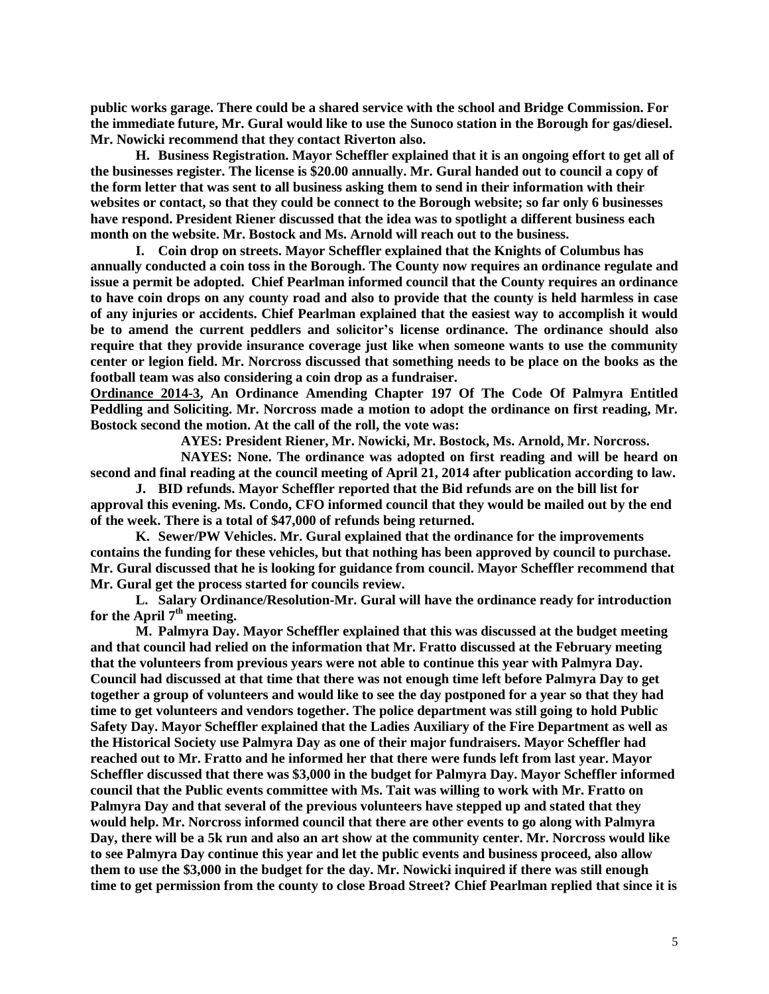**public works garage. There could be a shared service with the school and Bridge Commission. For the immediate future, Mr. Gural would like to use the Sunoco station in the Borough for gas/diesel. Mr. Nowicki recommend that they contact Riverton also.**

**H. Business Registration. Mayor Scheffler explained that it is an ongoing effort to get all of the businesses register. The license is \$20.00 annually. Mr. Gural handed out to council a copy of the form letter that was sent to all business asking them to send in their information with their websites or contact, so that they could be connect to the Borough website; so far only 6 businesses have respond. President Riener discussed that the idea was to spotlight a different business each month on the website. Mr. Bostock and Ms. Arnold will reach out to the business.** 

**I. Coin drop on streets. Mayor Scheffler explained that the Knights of Columbus has annually conducted a coin toss in the Borough. The County now requires an ordinance regulate and issue a permit be adopted. Chief Pearlman informed council that the County requires an ordinance to have coin drops on any county road and also to provide that the county is held harmless in case of any injuries or accidents. Chief Pearlman explained that the easiest way to accomplish it would be to amend the current peddlers and solicitor's license ordinance. The ordinance should also require that they provide insurance coverage just like when someone wants to use the community center or legion field. Mr. Norcross discussed that something needs to be place on the books as the football team was also considering a coin drop as a fundraiser.** 

**Ordinance 2014-3, An Ordinance Amending Chapter 197 Of The Code Of Palmyra Entitled Peddling and Soliciting. Mr. Norcross made a motion to adopt the ordinance on first reading, Mr. Bostock second the motion. At the call of the roll, the vote was:**

**AYES: President Riener, Mr. Nowicki, Mr. Bostock, Ms. Arnold, Mr. Norcross.**

**NAYES: None. The ordinance was adopted on first reading and will be heard on second and final reading at the council meeting of April 21, 2014 after publication according to law.** 

**J. BID refunds. Mayor Scheffler reported that the Bid refunds are on the bill list for approval this evening. Ms. Condo, CFO informed council that they would be mailed out by the end of the week. There is a total of \$47,000 of refunds being returned.** 

**K. Sewer/PW Vehicles. Mr. Gural explained that the ordinance for the improvements contains the funding for these vehicles, but that nothing has been approved by council to purchase. Mr. Gural discussed that he is looking for guidance from council. Mayor Scheffler recommend that Mr. Gural get the process started for councils review.** 

**L. Salary Ordinance/Resolution-Mr. Gural will have the ordinance ready for introduction for the April 7th meeting.** 

**M. Palmyra Day. Mayor Scheffler explained that this was discussed at the budget meeting and that council had relied on the information that Mr. Fratto discussed at the February meeting that the volunteers from previous years were not able to continue this year with Palmyra Day. Council had discussed at that time that there was not enough time left before Palmyra Day to get together a group of volunteers and would like to see the day postponed for a year so that they had time to get volunteers and vendors together. The police department was still going to hold Public Safety Day. Mayor Scheffler explained that the Ladies Auxiliary of the Fire Department as well as the Historical Society use Palmyra Day as one of their major fundraisers. Mayor Scheffler had reached out to Mr. Fratto and he informed her that there were funds left from last year. Mayor Scheffler discussed that there was \$3,000 in the budget for Palmyra Day. Mayor Scheffler informed council that the Public events committee with Ms. Tait was willing to work with Mr. Fratto on Palmyra Day and that several of the previous volunteers have stepped up and stated that they would help. Mr. Norcross informed council that there are other events to go along with Palmyra Day, there will be a 5k run and also an art show at the community center. Mr. Norcross would like to see Palmyra Day continue this year and let the public events and business proceed, also allow them to use the \$3,000 in the budget for the day. Mr. Nowicki inquired if there was still enough time to get permission from the county to close Broad Street? Chief Pearlman replied that since it is**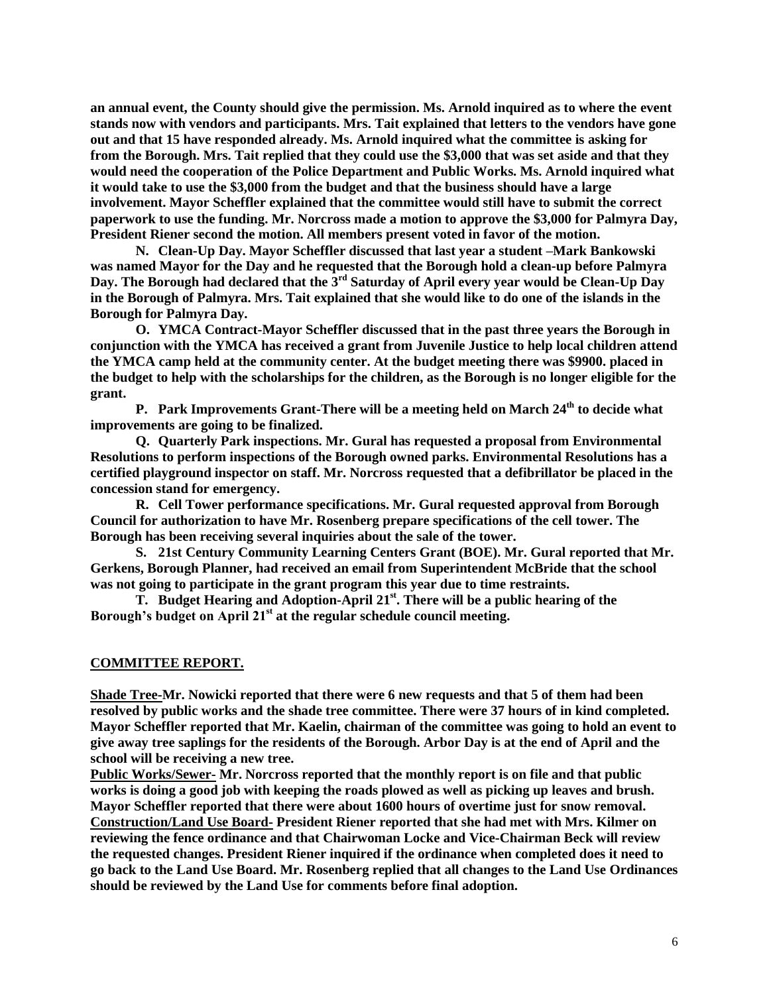**an annual event, the County should give the permission. Ms. Arnold inquired as to where the event stands now with vendors and participants. Mrs. Tait explained that letters to the vendors have gone out and that 15 have responded already. Ms. Arnold inquired what the committee is asking for from the Borough. Mrs. Tait replied that they could use the \$3,000 that was set aside and that they would need the cooperation of the Police Department and Public Works. Ms. Arnold inquired what it would take to use the \$3,000 from the budget and that the business should have a large involvement. Mayor Scheffler explained that the committee would still have to submit the correct paperwork to use the funding. Mr. Norcross made a motion to approve the \$3,000 for Palmyra Day, President Riener second the motion. All members present voted in favor of the motion.**

**N. Clean-Up Day. Mayor Scheffler discussed that last year a student –Mark Bankowski was named Mayor for the Day and he requested that the Borough hold a clean-up before Palmyra Day. The Borough had declared that the 3rd Saturday of April every year would be Clean-Up Day in the Borough of Palmyra. Mrs. Tait explained that she would like to do one of the islands in the Borough for Palmyra Day.**

**O. YMCA Contract-Mayor Scheffler discussed that in the past three years the Borough in conjunction with the YMCA has received a grant from Juvenile Justice to help local children attend the YMCA camp held at the community center. At the budget meeting there was \$9900. placed in the budget to help with the scholarships for the children, as the Borough is no longer eligible for the grant.** 

**P. Park Improvements Grant-There will be a meeting held on March 24th to decide what improvements are going to be finalized.** 

**Q. Quarterly Park inspections. Mr. Gural has requested a proposal from Environmental Resolutions to perform inspections of the Borough owned parks. Environmental Resolutions has a certified playground inspector on staff. Mr. Norcross requested that a defibrillator be placed in the concession stand for emergency.** 

**R. Cell Tower performance specifications. Mr. Gural requested approval from Borough Council for authorization to have Mr. Rosenberg prepare specifications of the cell tower. The Borough has been receiving several inquiries about the sale of the tower.** 

**S. 21st Century Community Learning Centers Grant (BOE). Mr. Gural reported that Mr. Gerkens, Borough Planner, had received an email from Superintendent McBride that the school was not going to participate in the grant program this year due to time restraints.** 

**T. Budget Hearing and Adoption-April 21st . There will be a public hearing of the Borough's budget on April 21st at the regular schedule council meeting.** 

#### **COMMITTEE REPORT.**

**Shade Tree-Mr. Nowicki reported that there were 6 new requests and that 5 of them had been resolved by public works and the shade tree committee. There were 37 hours of in kind completed. Mayor Scheffler reported that Mr. Kaelin, chairman of the committee was going to hold an event to give away tree saplings for the residents of the Borough. Arbor Day is at the end of April and the school will be receiving a new tree.** 

**Public Works/Sewer- Mr. Norcross reported that the monthly report is on file and that public works is doing a good job with keeping the roads plowed as well as picking up leaves and brush. Mayor Scheffler reported that there were about 1600 hours of overtime just for snow removal. Construction/Land Use Board- President Riener reported that she had met with Mrs. Kilmer on reviewing the fence ordinance and that Chairwoman Locke and Vice-Chairman Beck will review the requested changes. President Riener inquired if the ordinance when completed does it need to go back to the Land Use Board. Mr. Rosenberg replied that all changes to the Land Use Ordinances should be reviewed by the Land Use for comments before final adoption.**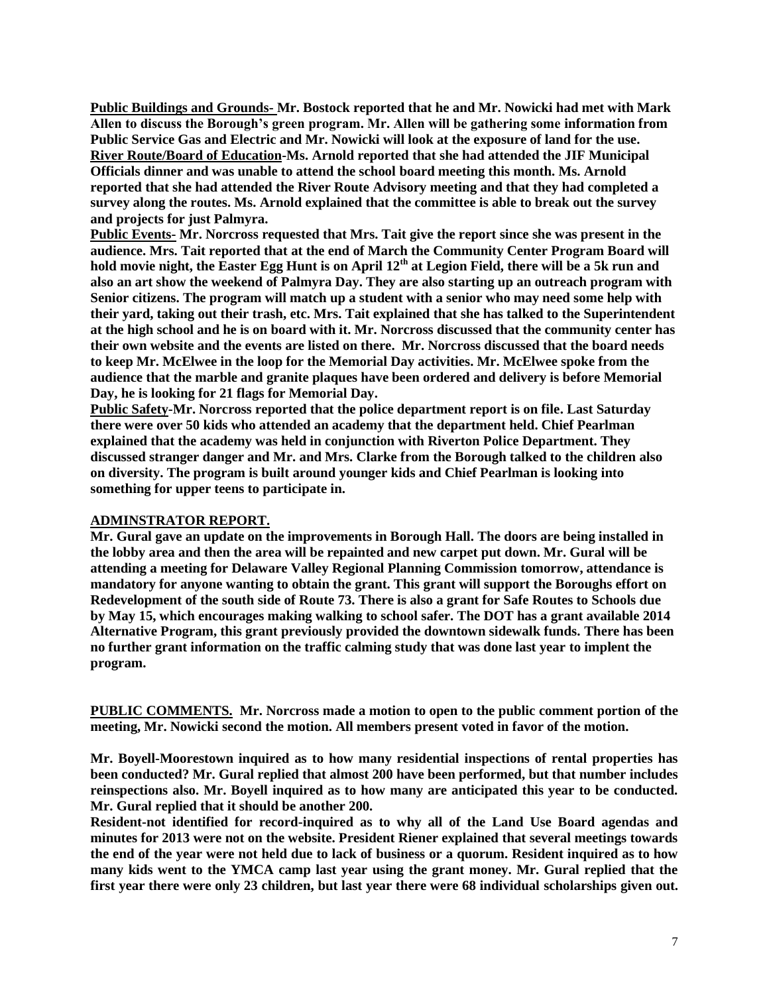**Public Buildings and Grounds- Mr. Bostock reported that he and Mr. Nowicki had met with Mark Allen to discuss the Borough's green program. Mr. Allen will be gathering some information from Public Service Gas and Electric and Mr. Nowicki will look at the exposure of land for the use. River Route/Board of Education-Ms. Arnold reported that she had attended the JIF Municipal Officials dinner and was unable to attend the school board meeting this month. Ms. Arnold reported that she had attended the River Route Advisory meeting and that they had completed a survey along the routes. Ms. Arnold explained that the committee is able to break out the survey and projects for just Palmyra.** 

**Public Events- Mr. Norcross requested that Mrs. Tait give the report since she was present in the audience. Mrs. Tait reported that at the end of March the Community Center Program Board will hold movie night, the Easter Egg Hunt is on April 12th at Legion Field, there will be a 5k run and also an art show the weekend of Palmyra Day. They are also starting up an outreach program with Senior citizens. The program will match up a student with a senior who may need some help with their yard, taking out their trash, etc. Mrs. Tait explained that she has talked to the Superintendent at the high school and he is on board with it. Mr. Norcross discussed that the community center has their own website and the events are listed on there. Mr. Norcross discussed that the board needs to keep Mr. McElwee in the loop for the Memorial Day activities. Mr. McElwee spoke from the audience that the marble and granite plaques have been ordered and delivery is before Memorial Day, he is looking for 21 flags for Memorial Day.** 

**Public Safety-Mr. Norcross reported that the police department report is on file. Last Saturday there were over 50 kids who attended an academy that the department held. Chief Pearlman explained that the academy was held in conjunction with Riverton Police Department. They discussed stranger danger and Mr. and Mrs. Clarke from the Borough talked to the children also on diversity. The program is built around younger kids and Chief Pearlman is looking into something for upper teens to participate in.** 

## **ADMINSTRATOR REPORT.**

**Mr. Gural gave an update on the improvements in Borough Hall. The doors are being installed in the lobby area and then the area will be repainted and new carpet put down. Mr. Gural will be attending a meeting for Delaware Valley Regional Planning Commission tomorrow, attendance is mandatory for anyone wanting to obtain the grant. This grant will support the Boroughs effort on Redevelopment of the south side of Route 73. There is also a grant for Safe Routes to Schools due by May 15, which encourages making walking to school safer. The DOT has a grant available 2014 Alternative Program, this grant previously provided the downtown sidewalk funds. There has been no further grant information on the traffic calming study that was done last year to implent the program.**

**PUBLIC COMMENTS. Mr. Norcross made a motion to open to the public comment portion of the meeting, Mr. Nowicki second the motion. All members present voted in favor of the motion.**

**Mr. Boyell-Moorestown inquired as to how many residential inspections of rental properties has been conducted? Mr. Gural replied that almost 200 have been performed, but that number includes reinspections also. Mr. Boyell inquired as to how many are anticipated this year to be conducted. Mr. Gural replied that it should be another 200.** 

**Resident-not identified for record-inquired as to why all of the Land Use Board agendas and minutes for 2013 were not on the website. President Riener explained that several meetings towards the end of the year were not held due to lack of business or a quorum. Resident inquired as to how many kids went to the YMCA camp last year using the grant money. Mr. Gural replied that the first year there were only 23 children, but last year there were 68 individual scholarships given out.**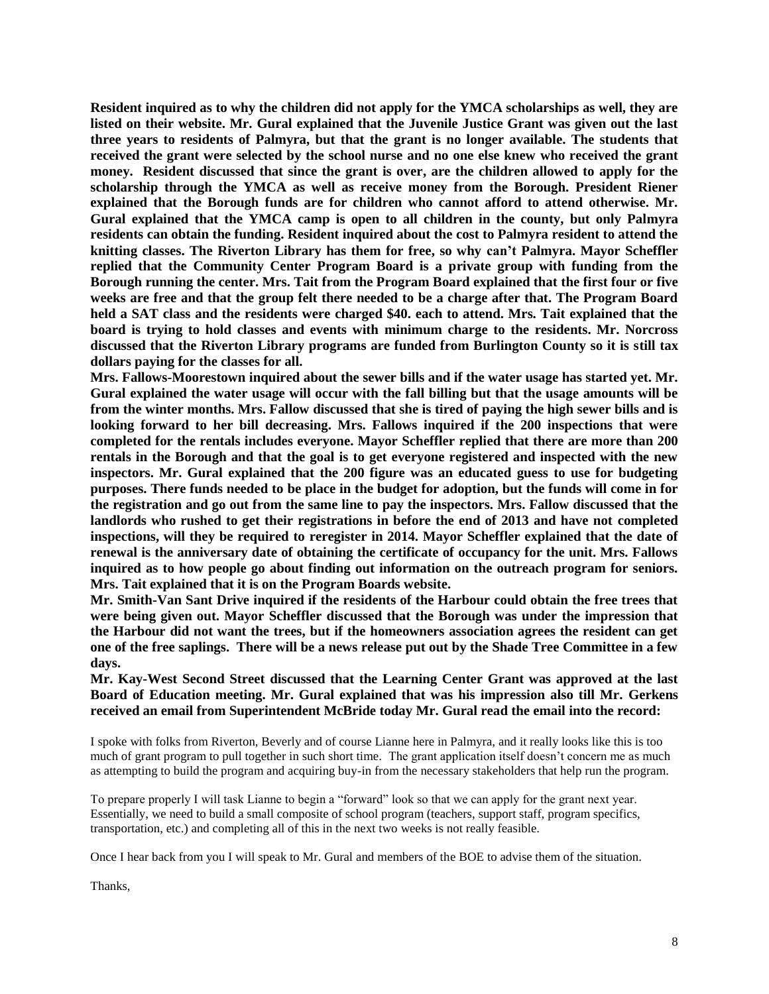**Resident inquired as to why the children did not apply for the YMCA scholarships as well, they are listed on their website. Mr. Gural explained that the Juvenile Justice Grant was given out the last three years to residents of Palmyra, but that the grant is no longer available. The students that received the grant were selected by the school nurse and no one else knew who received the grant money. Resident discussed that since the grant is over, are the children allowed to apply for the scholarship through the YMCA as well as receive money from the Borough. President Riener explained that the Borough funds are for children who cannot afford to attend otherwise. Mr. Gural explained that the YMCA camp is open to all children in the county, but only Palmyra residents can obtain the funding. Resident inquired about the cost to Palmyra resident to attend the knitting classes. The Riverton Library has them for free, so why can't Palmyra. Mayor Scheffler replied that the Community Center Program Board is a private group with funding from the Borough running the center. Mrs. Tait from the Program Board explained that the first four or five weeks are free and that the group felt there needed to be a charge after that. The Program Board held a SAT class and the residents were charged \$40. each to attend. Mrs. Tait explained that the board is trying to hold classes and events with minimum charge to the residents. Mr. Norcross discussed that the Riverton Library programs are funded from Burlington County so it is still tax dollars paying for the classes for all.** 

**Mrs. Fallows-Moorestown inquired about the sewer bills and if the water usage has started yet. Mr. Gural explained the water usage will occur with the fall billing but that the usage amounts will be from the winter months. Mrs. Fallow discussed that she is tired of paying the high sewer bills and is looking forward to her bill decreasing. Mrs. Fallows inquired if the 200 inspections that were completed for the rentals includes everyone. Mayor Scheffler replied that there are more than 200 rentals in the Borough and that the goal is to get everyone registered and inspected with the new inspectors. Mr. Gural explained that the 200 figure was an educated guess to use for budgeting purposes. There funds needed to be place in the budget for adoption, but the funds will come in for the registration and go out from the same line to pay the inspectors. Mrs. Fallow discussed that the landlords who rushed to get their registrations in before the end of 2013 and have not completed inspections, will they be required to reregister in 2014. Mayor Scheffler explained that the date of renewal is the anniversary date of obtaining the certificate of occupancy for the unit. Mrs. Fallows inquired as to how people go about finding out information on the outreach program for seniors. Mrs. Tait explained that it is on the Program Boards website.** 

**Mr. Smith-Van Sant Drive inquired if the residents of the Harbour could obtain the free trees that were being given out. Mayor Scheffler discussed that the Borough was under the impression that the Harbour did not want the trees, but if the homeowners association agrees the resident can get one of the free saplings. There will be a news release put out by the Shade Tree Committee in a few days.** 

**Mr. Kay-West Second Street discussed that the Learning Center Grant was approved at the last Board of Education meeting. Mr. Gural explained that was his impression also till Mr. Gerkens received an email from Superintendent McBride today Mr. Gural read the email into the record:**

I spoke with folks from Riverton, Beverly and of course Lianne here in Palmyra, and it really looks like this is too much of grant program to pull together in such short time. The grant application itself doesn't concern me as much as attempting to build the program and acquiring buy-in from the necessary stakeholders that help run the program.

To prepare properly I will task Lianne to begin a "forward" look so that we can apply for the grant next year. Essentially, we need to build a small composite of school program (teachers, support staff, program specifics, transportation, etc.) and completing all of this in the next two weeks is not really feasible.

Once I hear back from you I will speak to Mr. Gural and members of the BOE to advise them of the situation.

Thanks,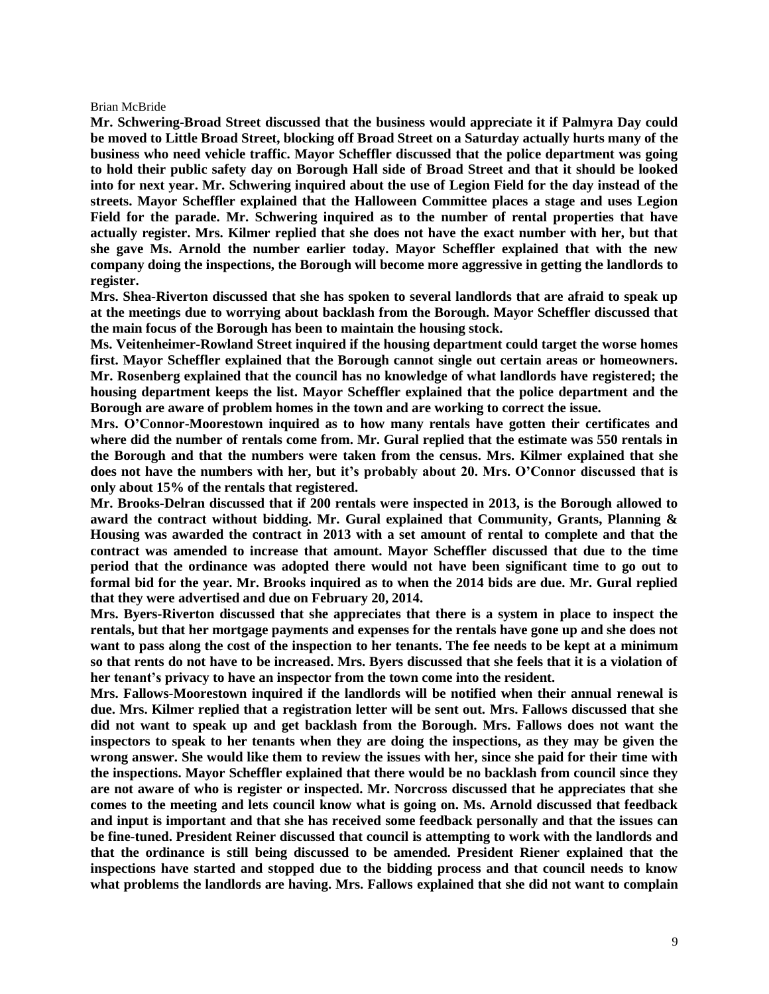#### Brian McBride

**Mr. Schwering-Broad Street discussed that the business would appreciate it if Palmyra Day could be moved to Little Broad Street, blocking off Broad Street on a Saturday actually hurts many of the business who need vehicle traffic. Mayor Scheffler discussed that the police department was going to hold their public safety day on Borough Hall side of Broad Street and that it should be looked into for next year. Mr. Schwering inquired about the use of Legion Field for the day instead of the streets. Mayor Scheffler explained that the Halloween Committee places a stage and uses Legion Field for the parade. Mr. Schwering inquired as to the number of rental properties that have actually register. Mrs. Kilmer replied that she does not have the exact number with her, but that she gave Ms. Arnold the number earlier today. Mayor Scheffler explained that with the new company doing the inspections, the Borough will become more aggressive in getting the landlords to register.** 

**Mrs. Shea-Riverton discussed that she has spoken to several landlords that are afraid to speak up at the meetings due to worrying about backlash from the Borough. Mayor Scheffler discussed that the main focus of the Borough has been to maintain the housing stock.** 

**Ms. Veitenheimer-Rowland Street inquired if the housing department could target the worse homes first. Mayor Scheffler explained that the Borough cannot single out certain areas or homeowners. Mr. Rosenberg explained that the council has no knowledge of what landlords have registered; the housing department keeps the list. Mayor Scheffler explained that the police department and the Borough are aware of problem homes in the town and are working to correct the issue.**

**Mrs. O'Connor-Moorestown inquired as to how many rentals have gotten their certificates and where did the number of rentals come from. Mr. Gural replied that the estimate was 550 rentals in the Borough and that the numbers were taken from the census. Mrs. Kilmer explained that she does not have the numbers with her, but it's probably about 20. Mrs. O'Connor discussed that is only about 15% of the rentals that registered.** 

**Mr. Brooks-Delran discussed that if 200 rentals were inspected in 2013, is the Borough allowed to award the contract without bidding. Mr. Gural explained that Community, Grants, Planning & Housing was awarded the contract in 2013 with a set amount of rental to complete and that the contract was amended to increase that amount. Mayor Scheffler discussed that due to the time period that the ordinance was adopted there would not have been significant time to go out to formal bid for the year. Mr. Brooks inquired as to when the 2014 bids are due. Mr. Gural replied that they were advertised and due on February 20, 2014.** 

**Mrs. Byers-Riverton discussed that she appreciates that there is a system in place to inspect the rentals, but that her mortgage payments and expenses for the rentals have gone up and she does not want to pass along the cost of the inspection to her tenants. The fee needs to be kept at a minimum so that rents do not have to be increased. Mrs. Byers discussed that she feels that it is a violation of her tenant's privacy to have an inspector from the town come into the resident.** 

**Mrs. Fallows-Moorestown inquired if the landlords will be notified when their annual renewal is due. Mrs. Kilmer replied that a registration letter will be sent out. Mrs. Fallows discussed that she did not want to speak up and get backlash from the Borough. Mrs. Fallows does not want the inspectors to speak to her tenants when they are doing the inspections, as they may be given the wrong answer. She would like them to review the issues with her, since she paid for their time with the inspections. Mayor Scheffler explained that there would be no backlash from council since they are not aware of who is register or inspected. Mr. Norcross discussed that he appreciates that she comes to the meeting and lets council know what is going on. Ms. Arnold discussed that feedback and input is important and that she has received some feedback personally and that the issues can be fine-tuned. President Reiner discussed that council is attempting to work with the landlords and that the ordinance is still being discussed to be amended. President Riener explained that the inspections have started and stopped due to the bidding process and that council needs to know what problems the landlords are having. Mrs. Fallows explained that she did not want to complain**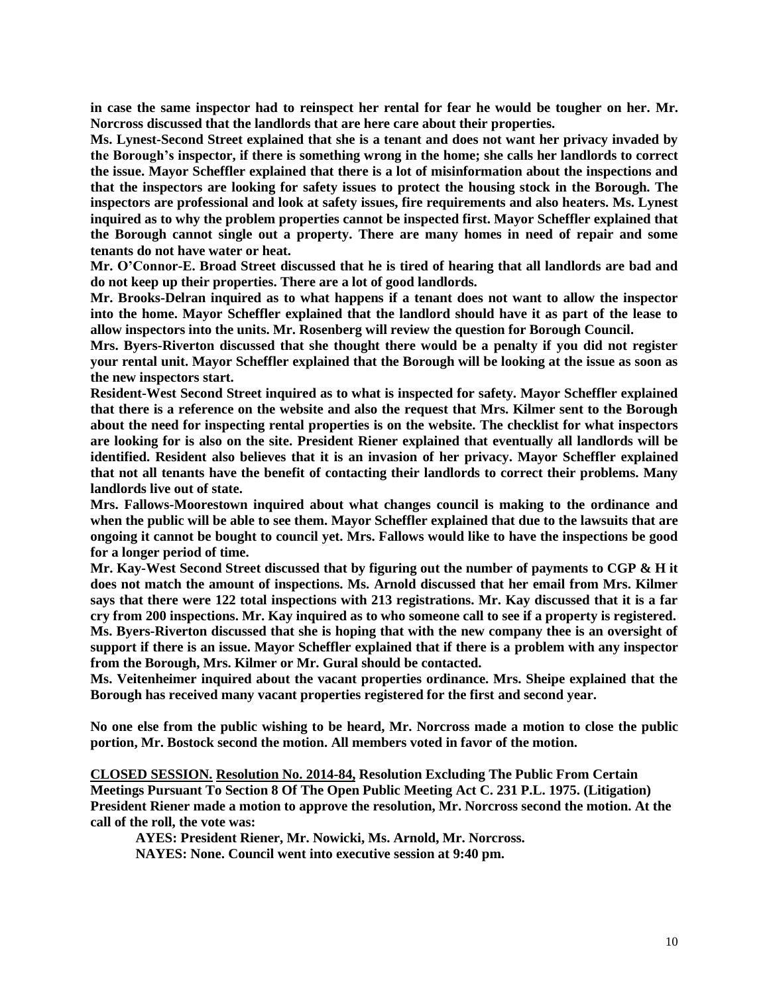**in case the same inspector had to reinspect her rental for fear he would be tougher on her. Mr. Norcross discussed that the landlords that are here care about their properties.**

**Ms. Lynest-Second Street explained that she is a tenant and does not want her privacy invaded by the Borough's inspector, if there is something wrong in the home; she calls her landlords to correct the issue. Mayor Scheffler explained that there is a lot of misinformation about the inspections and that the inspectors are looking for safety issues to protect the housing stock in the Borough. The inspectors are professional and look at safety issues, fire requirements and also heaters. Ms. Lynest inquired as to why the problem properties cannot be inspected first. Mayor Scheffler explained that the Borough cannot single out a property. There are many homes in need of repair and some tenants do not have water or heat.** 

**Mr. O'Connor-E. Broad Street discussed that he is tired of hearing that all landlords are bad and do not keep up their properties. There are a lot of good landlords.** 

**Mr. Brooks-Delran inquired as to what happens if a tenant does not want to allow the inspector into the home. Mayor Scheffler explained that the landlord should have it as part of the lease to allow inspectors into the units. Mr. Rosenberg will review the question for Borough Council.** 

**Mrs. Byers-Riverton discussed that she thought there would be a penalty if you did not register your rental unit. Mayor Scheffler explained that the Borough will be looking at the issue as soon as the new inspectors start.** 

**Resident-West Second Street inquired as to what is inspected for safety. Mayor Scheffler explained that there is a reference on the website and also the request that Mrs. Kilmer sent to the Borough about the need for inspecting rental properties is on the website. The checklist for what inspectors are looking for is also on the site. President Riener explained that eventually all landlords will be identified. Resident also believes that it is an invasion of her privacy. Mayor Scheffler explained that not all tenants have the benefit of contacting their landlords to correct their problems. Many landlords live out of state.** 

**Mrs. Fallows-Moorestown inquired about what changes council is making to the ordinance and when the public will be able to see them. Mayor Scheffler explained that due to the lawsuits that are ongoing it cannot be bought to council yet. Mrs. Fallows would like to have the inspections be good for a longer period of time.** 

**Mr. Kay-West Second Street discussed that by figuring out the number of payments to CGP & H it does not match the amount of inspections. Ms. Arnold discussed that her email from Mrs. Kilmer says that there were 122 total inspections with 213 registrations. Mr. Kay discussed that it is a far cry from 200 inspections. Mr. Kay inquired as to who someone call to see if a property is registered. Ms. Byers-Riverton discussed that she is hoping that with the new company thee is an oversight of support if there is an issue. Mayor Scheffler explained that if there is a problem with any inspector from the Borough, Mrs. Kilmer or Mr. Gural should be contacted.** 

**Ms. Veitenheimer inquired about the vacant properties ordinance. Mrs. Sheipe explained that the Borough has received many vacant properties registered for the first and second year.** 

**No one else from the public wishing to be heard, Mr. Norcross made a motion to close the public portion, Mr. Bostock second the motion. All members voted in favor of the motion.** 

**CLOSED SESSION. Resolution No. 2014-84, Resolution Excluding The Public From Certain Meetings Pursuant To Section 8 Of The Open Public Meeting Act C. 231 P.L. 1975. (Litigation) President Riener made a motion to approve the resolution, Mr. Norcross second the motion. At the call of the roll, the vote was:**

**AYES: President Riener, Mr. Nowicki, Ms. Arnold, Mr. Norcross. NAYES: None. Council went into executive session at 9:40 pm.**